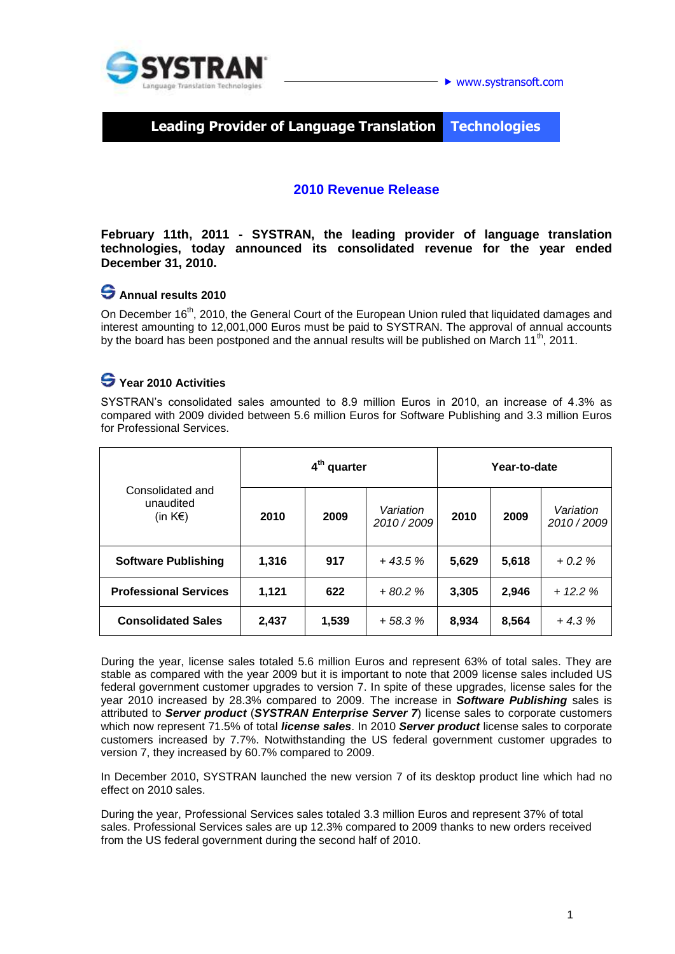

www.systransoft.com

**Leading Provider of Language Translation Technologies**

#### **2010 Revenue Release**

**February 11th, 2011 - SYSTRAN, the leading provider of language translation technologies, today announced its consolidated revenue for the year ended December 31, 2010.**

# **Annual results 2010**

On December 16<sup>th</sup>, 2010, the General Court of the European Union ruled that liquidated damages and interest amounting to 12,001,000 Euros must be paid to SYSTRAN. The approval of annual accounts by the board has been postponed and the annual results will be published on March 11<sup>th</sup>, 2011.

# **Year 2010 Activities**

SYSTRAN's consolidated sales amounted to 8.9 million Euros in 2010, an increase of 4.3% as compared with 2009 divided between 5.6 million Euros for Software Publishing and 3.3 million Euros for Professional Services.

| Consolidated and<br>unaudited<br>(in $K \in \mathbb{R}$ ) | 4 <sup>th</sup> quarter |       |                        | Year-to-date |       |                        |
|-----------------------------------------------------------|-------------------------|-------|------------------------|--------------|-------|------------------------|
|                                                           | 2010                    | 2009  | Variation<br>2010/2009 | 2010         | 2009  | Variation<br>2010/2009 |
| <b>Software Publishing</b>                                | 1,316                   | 917   | $+43.5%$               | 5,629        | 5,618 | $+0.2%$                |
| <b>Professional Services</b>                              | 1,121                   | 622   | $+80.2%$               | 3,305        | 2,946 | $+ 12.2 %$             |
| <b>Consolidated Sales</b>                                 | 2,437                   | 1,539 | $+58.3%$               | 8,934        | 8,564 | $+4.3%$                |

During the year, license sales totaled 5.6 million Euros and represent 63% of total sales. They are stable as compared with the year 2009 but it is important to note that 2009 license sales included US federal government customer upgrades to version 7. In spite of these upgrades, license sales for the year 2010 increased by 28.3% compared to 2009. The increase in *Software Publishing* sales is attributed to *Server product* (*SYSTRAN Enterprise Server 7*) license sales to corporate customers which now represent 71.5% of total *license sales*. In 2010 *Server product* license sales to corporate customers increased by 7.7%. Notwithstanding the US federal government customer upgrades to version 7, they increased by 60.7% compared to 2009.

In December 2010, SYSTRAN launched the new version 7 of its desktop product line which had no effect on 2010 sales.

During the year, Professional Services sales totaled 3.3 million Euros and represent 37% of total sales. Professional Services sales are up 12.3% compared to 2009 thanks to new orders received from the US federal government during the second half of 2010.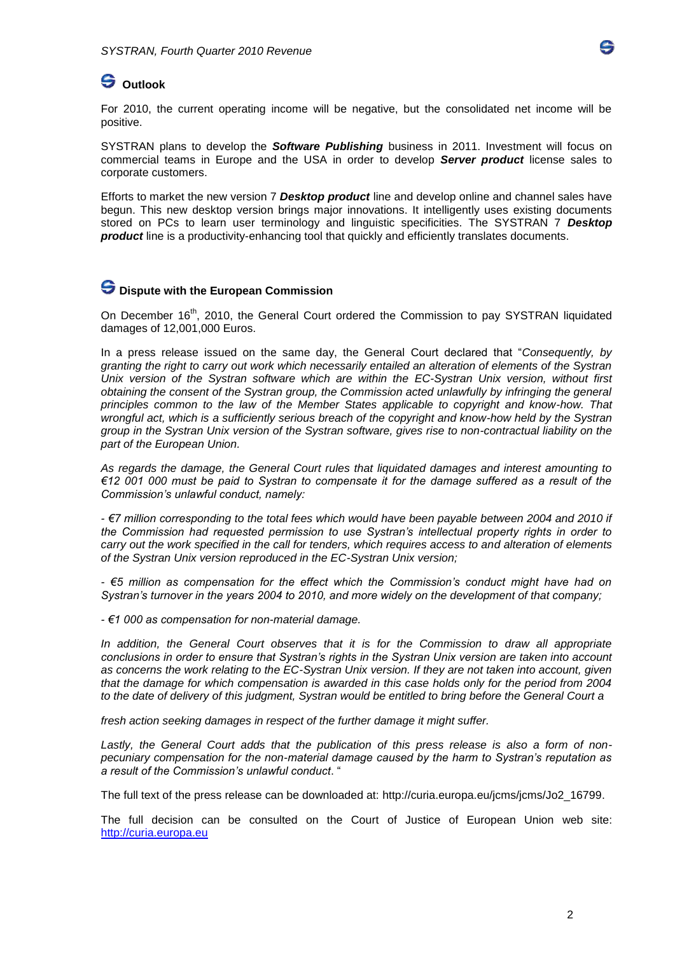

## **Outlook**

For 2010, the current operating income will be negative, but the consolidated net income will be positive.

SYSTRAN plans to develop the *Software Publishing* business in 2011. Investment will focus on commercial teams in Europe and the USA in order to develop *Server product* license sales to corporate customers.

Efforts to market the new version 7 *Desktop product* line and develop online and channel sales have begun. This new desktop version brings major innovations. It intelligently uses existing documents stored on PCs to learn user terminology and linguistic specificities. The SYSTRAN 7 *Desktop product* line is a productivity-enhancing tool that quickly and efficiently translates documents.

#### **Dispute with the European Commission**

On December 16<sup>th</sup>, 2010, the General Court ordered the Commission to pay SYSTRAN liquidated damages of 12,001,000 Euros.

In a press release issued on the same day, the General Court declared that "*Consequently, by granting the right to carry out work which necessarily entailed an alteration of elements of the Systran Unix version of the Systran software which are within the EC-Systran Unix version, without first obtaining the consent of the Systran group, the Commission acted unlawfully by infringing the general principles common to the law of the Member States applicable to copyright and know-how. That wrongful act, which is a sufficiently serious breach of the copyright and know-how held by the Systran group in the Systran Unix version of the Systran software, gives rise to non-contractual liability on the part of the European Union.* 

*As regards the damage, the General Court rules that liquidated damages and interest amounting to €12 001 000 must be paid to Systran to compensate it for the damage suffered as a result of the Commission's unlawful conduct, namely:* 

*- €7 million corresponding to the total fees which would have been payable between 2004 and 2010 if the Commission had requested permission to use Systran's intellectual property rights in order to carry out the work specified in the call for tenders, which requires access to and alteration of elements of the Systran Unix version reproduced in the EC-Systran Unix version;* 

*- €5 million as compensation for the effect which the Commission's conduct might have had on Systran's turnover in the years 2004 to 2010, and more widely on the development of that company;* 

*- €1 000 as compensation for non-material damage.* 

*In addition, the General Court observes that it is for the Commission to draw all appropriate conclusions in order to ensure that Systran's rights in the Systran Unix version are taken into account as concerns the work relating to the EC-Systran Unix version. If they are not taken into account, given that the damage for which compensation is awarded in this case holds only for the period from 2004 to the date of delivery of this judgment, Systran would be entitled to bring before the General Court a* 

*fresh action seeking damages in respect of the further damage it might suffer.* 

*Lastly, the General Court adds that the publication of this press release is also a form of nonpecuniary compensation for the non-material damage caused by the harm to Systran's reputation as a result of the Commission's unlawful conduct*. "

The full text of the press release can be downloaded at: [http://curia.europa.eu/jcms/jcms/Jo2\\_16799.](http://curia.europa.eu/jcms/jcms/Jo2_16799)

The full decision can be consulted on the Court of Justice of European Union web site: [http://curia.europa.eu](http://curia.europa.eu/)